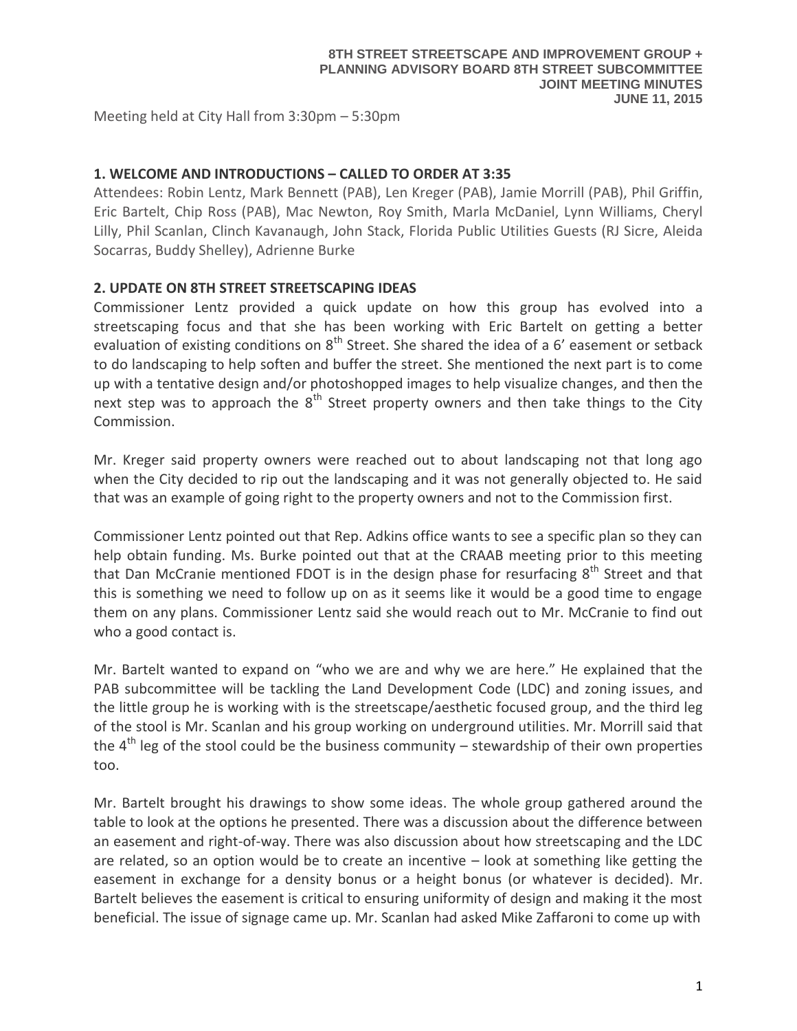Meeting held at City Hall from 3:30pm – 5:30pm

## **1. WELCOME AND INTRODUCTIONS – CALLED TO ORDER AT 3:35**

Attendees: Robin Lentz, Mark Bennett (PAB), Len Kreger (PAB), Jamie Morrill (PAB), Phil Griffin, Eric Bartelt, Chip Ross (PAB), Mac Newton, Roy Smith, Marla McDaniel, Lynn Williams, Cheryl Lilly, Phil Scanlan, Clinch Kavanaugh, John Stack, Florida Public Utilities Guests (RJ Sicre, Aleida Socarras, Buddy Shelley), Adrienne Burke

## **2. UPDATE ON 8TH STREET STREETSCAPING IDEAS**

Commissioner Lentz provided a quick update on how this group has evolved into a streetscaping focus and that she has been working with Eric Bartelt on getting a better evaluation of existing conditions on  $8<sup>th</sup>$  Street. She shared the idea of a 6' easement or setback to do landscaping to help soften and buffer the street. She mentioned the next part is to come up with a tentative design and/or photoshopped images to help visualize changes, and then the next step was to approach the  $8<sup>th</sup>$  Street property owners and then take things to the City Commission.

Mr. Kreger said property owners were reached out to about landscaping not that long ago when the City decided to rip out the landscaping and it was not generally objected to. He said that was an example of going right to the property owners and not to the Commission first.

Commissioner Lentz pointed out that Rep. Adkins office wants to see a specific plan so they can help obtain funding. Ms. Burke pointed out that at the CRAAB meeting prior to this meeting that Dan McCranie mentioned FDOT is in the design phase for resurfacing  $8<sup>th</sup>$  Street and that this is something we need to follow up on as it seems like it would be a good time to engage them on any plans. Commissioner Lentz said she would reach out to Mr. McCranie to find out who a good contact is.

Mr. Bartelt wanted to expand on "who we are and why we are here." He explained that the PAB subcommittee will be tackling the Land Development Code (LDC) and zoning issues, and the little group he is working with is the streetscape/aesthetic focused group, and the third leg of the stool is Mr. Scanlan and his group working on underground utilities. Mr. Morrill said that the  $4<sup>th</sup>$  leg of the stool could be the business community – stewardship of their own properties too.

Mr. Bartelt brought his drawings to show some ideas. The whole group gathered around the table to look at the options he presented. There was a discussion about the difference between an easement and right-of-way. There was also discussion about how streetscaping and the LDC are related, so an option would be to create an incentive – look at something like getting the easement in exchange for a density bonus or a height bonus (or whatever is decided). Mr. Bartelt believes the easement is critical to ensuring uniformity of design and making it the most beneficial. The issue of signage came up. Mr. Scanlan had asked Mike Zaffaroni to come up with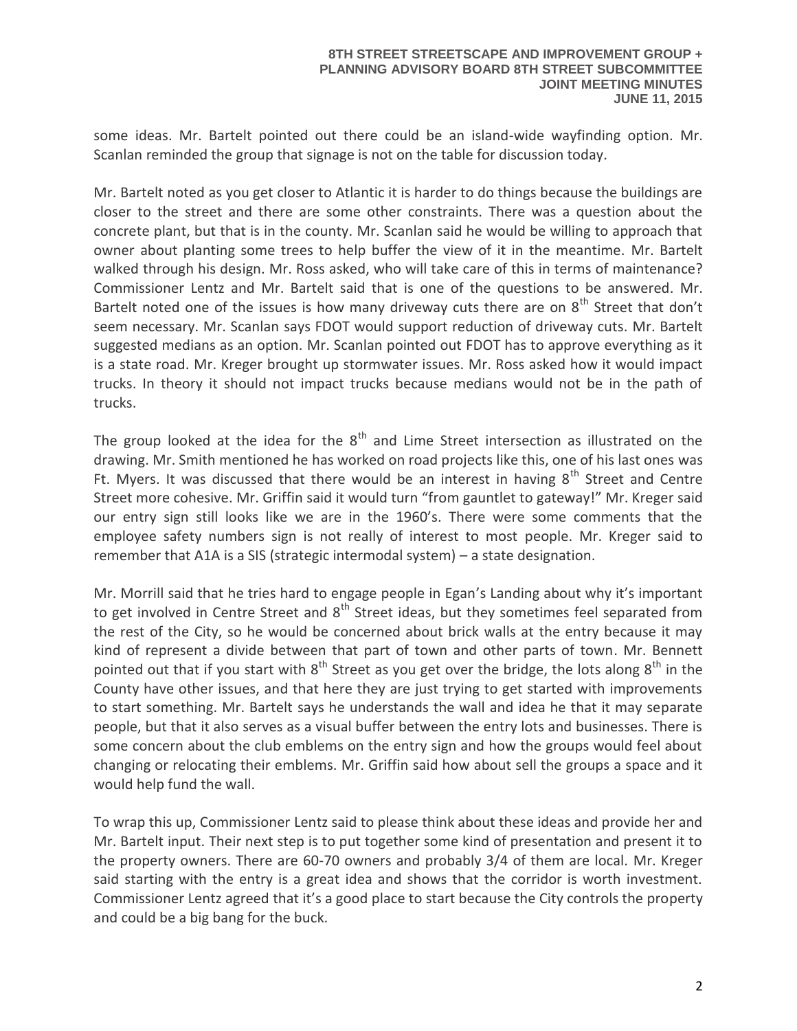some ideas. Mr. Bartelt pointed out there could be an island-wide wayfinding option. Mr. Scanlan reminded the group that signage is not on the table for discussion today.

Mr. Bartelt noted as you get closer to Atlantic it is harder to do things because the buildings are closer to the street and there are some other constraints. There was a question about the concrete plant, but that is in the county. Mr. Scanlan said he would be willing to approach that owner about planting some trees to help buffer the view of it in the meantime. Mr. Bartelt walked through his design. Mr. Ross asked, who will take care of this in terms of maintenance? Commissioner Lentz and Mr. Bartelt said that is one of the questions to be answered. Mr. Bartelt noted one of the issues is how many driveway cuts there are on  $8<sup>th</sup>$  Street that don't seem necessary. Mr. Scanlan says FDOT would support reduction of driveway cuts. Mr. Bartelt suggested medians as an option. Mr. Scanlan pointed out FDOT has to approve everything as it is a state road. Mr. Kreger brought up stormwater issues. Mr. Ross asked how it would impact trucks. In theory it should not impact trucks because medians would not be in the path of trucks.

The group looked at the idea for the  $8<sup>th</sup>$  and Lime Street intersection as illustrated on the drawing. Mr. Smith mentioned he has worked on road projects like this, one of his last ones was Ft. Myers. It was discussed that there would be an interest in having  $8<sup>th</sup>$  Street and Centre Street more cohesive. Mr. Griffin said it would turn "from gauntlet to gateway!" Mr. Kreger said our entry sign still looks like we are in the 1960's. There were some comments that the employee safety numbers sign is not really of interest to most people. Mr. Kreger said to remember that A1A is a SIS (strategic intermodal system) – a state designation.

Mr. Morrill said that he tries hard to engage people in Egan's Landing about why it's important to get involved in Centre Street and  $8<sup>th</sup>$  Street ideas, but they sometimes feel separated from the rest of the City, so he would be concerned about brick walls at the entry because it may kind of represent a divide between that part of town and other parts of town. Mr. Bennett pointed out that if you start with  $8<sup>th</sup>$  Street as you get over the bridge, the lots along  $8<sup>th</sup>$  in the County have other issues, and that here they are just trying to get started with improvements to start something. Mr. Bartelt says he understands the wall and idea he that it may separate people, but that it also serves as a visual buffer between the entry lots and businesses. There is some concern about the club emblems on the entry sign and how the groups would feel about changing or relocating their emblems. Mr. Griffin said how about sell the groups a space and it would help fund the wall.

To wrap this up, Commissioner Lentz said to please think about these ideas and provide her and Mr. Bartelt input. Their next step is to put together some kind of presentation and present it to the property owners. There are 60-70 owners and probably 3/4 of them are local. Mr. Kreger said starting with the entry is a great idea and shows that the corridor is worth investment. Commissioner Lentz agreed that it's a good place to start because the City controls the property and could be a big bang for the buck.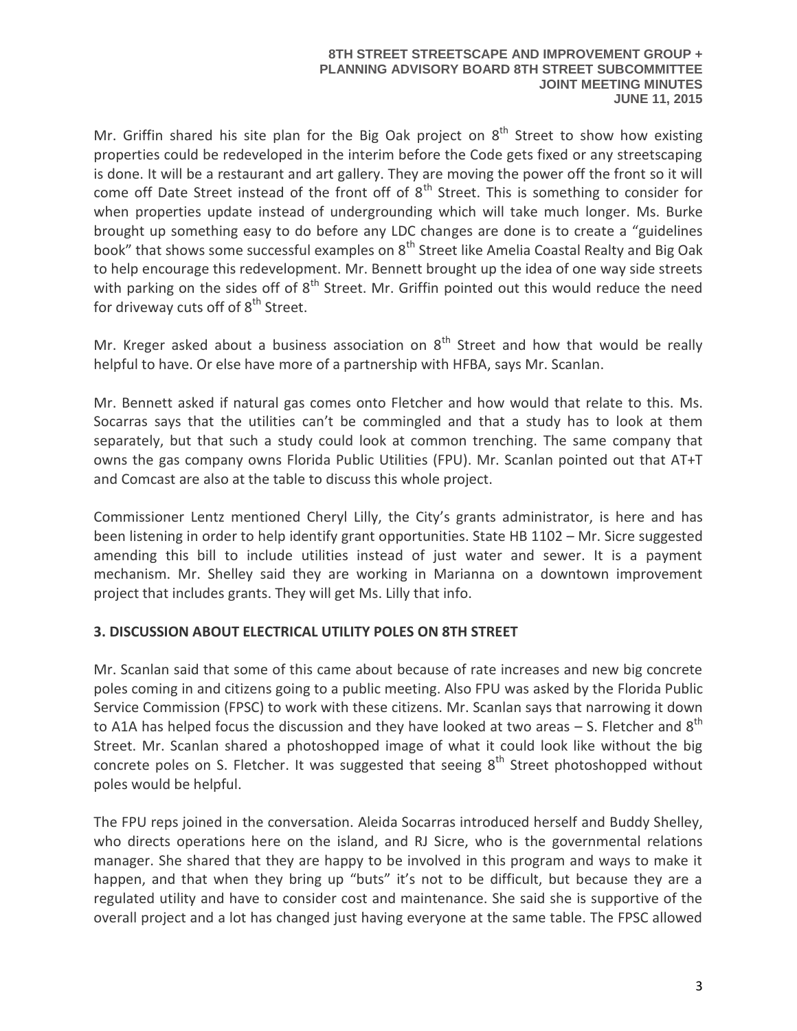Mr. Griffin shared his site plan for the Big Oak project on  $8<sup>th</sup>$  Street to show how existing properties could be redeveloped in the interim before the Code gets fixed or any streetscaping is done. It will be a restaurant and art gallery. They are moving the power off the front so it will come off Date Street instead of the front off of  $8<sup>th</sup>$  Street. This is something to consider for when properties update instead of undergrounding which will take much longer. Ms. Burke brought up something easy to do before any LDC changes are done is to create a "guidelines book" that shows some successful examples on 8<sup>th</sup> Street like Amelia Coastal Realty and Big Oak to help encourage this redevelopment. Mr. Bennett brought up the idea of one way side streets with parking on the sides off of 8<sup>th</sup> Street. Mr. Griffin pointed out this would reduce the need for driveway cuts off of  $8<sup>th</sup>$  Street.

Mr. Kreger asked about a business association on  $8<sup>th</sup>$  Street and how that would be really helpful to have. Or else have more of a partnership with HFBA, says Mr. Scanlan.

Mr. Bennett asked if natural gas comes onto Fletcher and how would that relate to this. Ms. Socarras says that the utilities can't be commingled and that a study has to look at them separately, but that such a study could look at common trenching. The same company that owns the gas company owns Florida Public Utilities (FPU). Mr. Scanlan pointed out that AT+T and Comcast are also at the table to discuss this whole project.

Commissioner Lentz mentioned Cheryl Lilly, the City's grants administrator, is here and has been listening in order to help identify grant opportunities. State HB 1102 – Mr. Sicre suggested amending this bill to include utilities instead of just water and sewer. It is a payment mechanism. Mr. Shelley said they are working in Marianna on a downtown improvement project that includes grants. They will get Ms. Lilly that info.

# **3. DISCUSSION ABOUT ELECTRICAL UTILITY POLES ON 8TH STREET**

Mr. Scanlan said that some of this came about because of rate increases and new big concrete poles coming in and citizens going to a public meeting. Also FPU was asked by the Florida Public Service Commission (FPSC) to work with these citizens. Mr. Scanlan says that narrowing it down to A1A has helped focus the discussion and they have looked at two areas  $-$  S. Fletcher and  $8<sup>th</sup>$ Street. Mr. Scanlan shared a photoshopped image of what it could look like without the big concrete poles on S. Fletcher. It was suggested that seeing  $8<sup>th</sup>$  Street photoshopped without poles would be helpful.

The FPU reps joined in the conversation. Aleida Socarras introduced herself and Buddy Shelley, who directs operations here on the island, and RJ Sicre, who is the governmental relations manager. She shared that they are happy to be involved in this program and ways to make it happen, and that when they bring up "buts" it's not to be difficult, but because they are a regulated utility and have to consider cost and maintenance. She said she is supportive of the overall project and a lot has changed just having everyone at the same table. The FPSC allowed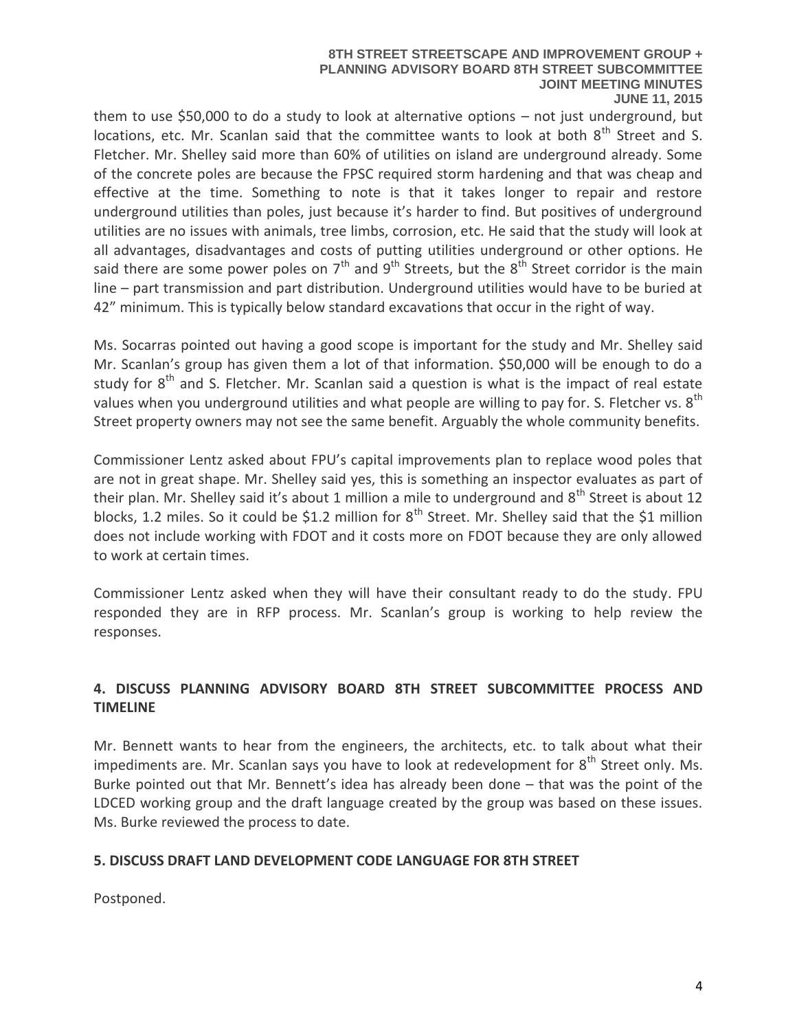#### **8TH STREET STREETSCAPE AND IMPROVEMENT GROUP + PLANNING ADVISORY BOARD 8TH STREET SUBCOMMITTEE JOINT MEETING MINUTES JUNE 11, 2015**

them to use \$50,000 to do a study to look at alternative options – not just underground, but locations, etc. Mr. Scanlan said that the committee wants to look at both 8<sup>th</sup> Street and S. Fletcher. Mr. Shelley said more than 60% of utilities on island are underground already. Some of the concrete poles are because the FPSC required storm hardening and that was cheap and effective at the time. Something to note is that it takes longer to repair and restore underground utilities than poles, just because it's harder to find. But positives of underground utilities are no issues with animals, tree limbs, corrosion, etc. He said that the study will look at all advantages, disadvantages and costs of putting utilities underground or other options. He said there are some power poles on  $7<sup>th</sup>$  and  $9<sup>th</sup>$  Streets, but the  $8<sup>th</sup>$  Street corridor is the main line – part transmission and part distribution. Underground utilities would have to be buried at 42" minimum. This is typically below standard excavations that occur in the right of way.

Ms. Socarras pointed out having a good scope is important for the study and Mr. Shelley said Mr. Scanlan's group has given them a lot of that information. \$50,000 will be enough to do a study for  $8<sup>th</sup>$  and S. Fletcher. Mr. Scanlan said a question is what is the impact of real estate values when you underground utilities and what people are willing to pay for. S. Fletcher vs. 8<sup>th</sup> Street property owners may not see the same benefit. Arguably the whole community benefits.

Commissioner Lentz asked about FPU's capital improvements plan to replace wood poles that are not in great shape. Mr. Shelley said yes, this is something an inspector evaluates as part of their plan. Mr. Shelley said it's about 1 million a mile to underground and  $8<sup>th</sup>$  Street is about 12 blocks, 1.2 miles. So it could be \$1.2 million for 8<sup>th</sup> Street. Mr. Shelley said that the \$1 million does not include working with FDOT and it costs more on FDOT because they are only allowed to work at certain times.

Commissioner Lentz asked when they will have their consultant ready to do the study. FPU responded they are in RFP process. Mr. Scanlan's group is working to help review the responses.

# **4. DISCUSS PLANNING ADVISORY BOARD 8TH STREET SUBCOMMITTEE PROCESS AND TIMELINE**

Mr. Bennett wants to hear from the engineers, the architects, etc. to talk about what their impediments are. Mr. Scanlan says you have to look at redevelopment for  $8<sup>th</sup>$  Street only. Ms. Burke pointed out that Mr. Bennett's idea has already been done – that was the point of the LDCED working group and the draft language created by the group was based on these issues. Ms. Burke reviewed the process to date.

# **5. DISCUSS DRAFT LAND DEVELOPMENT CODE LANGUAGE FOR 8TH STREET**

Postponed.